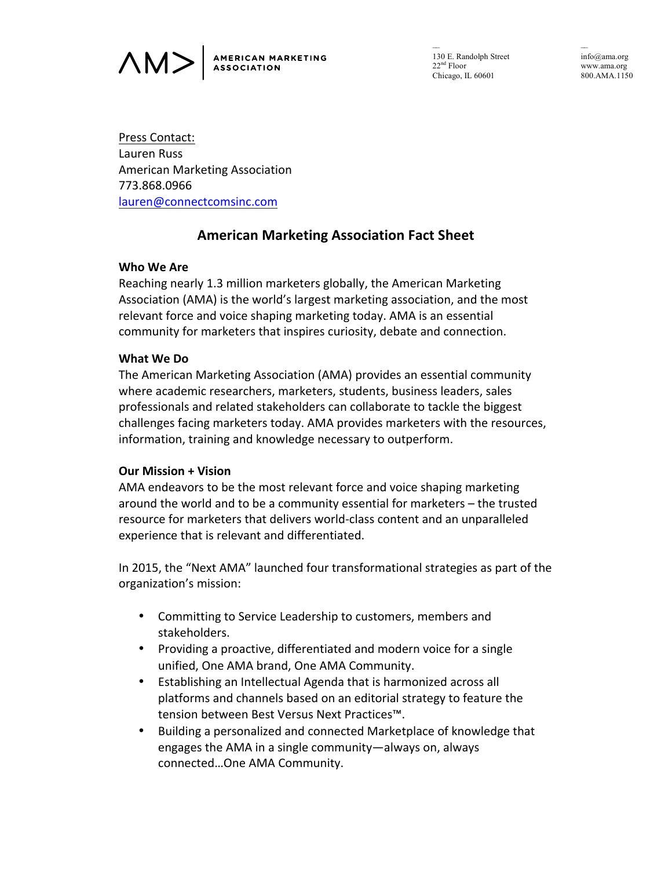

–– 130 E. Randolph Street 22nd Floor Chicago, IL 60601

–– info@ama.org www.ama.org 800.AMA.1150

Press Contact: Lauren Russ American Marketing Association 773.868.0966 lauren@connectcomsinc.com

# **American Marketing Association Fact Sheet**

### **Who We Are**

Reaching nearly 1.3 million marketers globally, the American Marketing Association (AMA) is the world's largest marketing association, and the most relevant force and voice shaping marketing today. AMA is an essential community for marketers that inspires curiosity, debate and connection.

### **What We Do**

The American Marketing Association (AMA) provides an essential community where academic researchers, marketers, students, business leaders, sales professionals and related stakeholders can collaborate to tackle the biggest challenges facing marketers today. AMA provides marketers with the resources, information, training and knowledge necessary to outperform.

### **Our Mission + Vision**

AMA endeavors to be the most relevant force and voice shaping marketing around the world and to be a community essential for marketers – the trusted resource for marketers that delivers world-class content and an unparalleled experience that is relevant and differentiated.

In 2015, the "Next AMA" launched four transformational strategies as part of the organization's mission:

- Committing to Service Leadership to customers, members and stakeholders.
- Providing a proactive, differentiated and modern voice for a single unified, One AMA brand, One AMA Community.
- Establishing an Intellectual Agenda that is harmonized across all platforms and channels based on an editorial strategy to feature the tension between Best Versus Next Practices™.
- Building a personalized and connected Marketplace of knowledge that engages the AMA in a single community—always on, always connected...One AMA Community.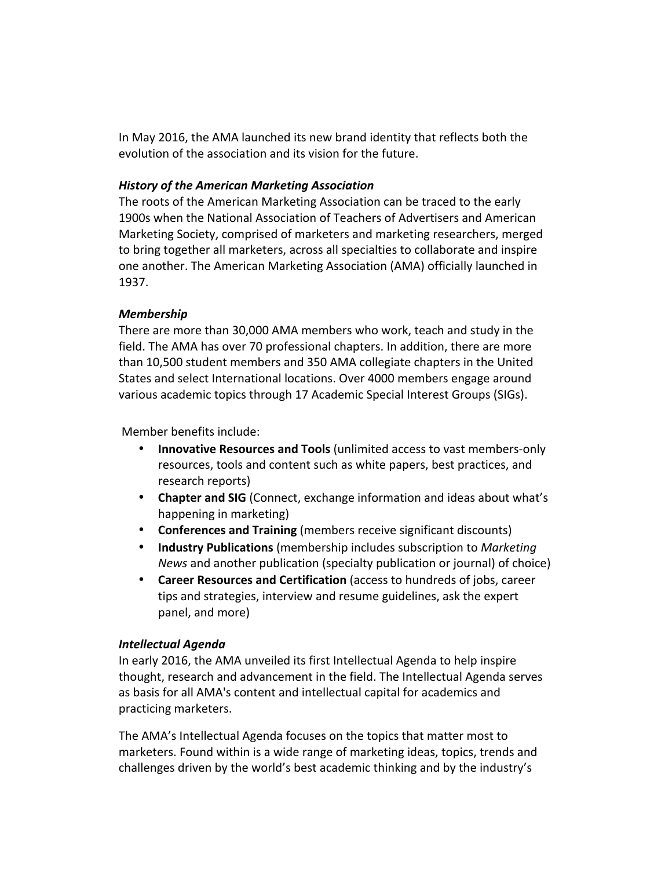In May 2016, the AMA launched its new brand identity that reflects both the evolution of the association and its vision for the future.

### *History of the American Marketing Association*

The roots of the American Marketing Association can be traced to the early 1900s when the National Association of Teachers of Advertisers and American Marketing Society, comprised of marketers and marketing researchers, merged to bring together all marketers, across all specialties to collaborate and inspire one another. The American Marketing Association (AMA) officially launched in 1937.

## *Membership*

There are more than 30,000 AMA members who work, teach and study in the field. The AMA has over 70 professional chapters. In addition, there are more than 10,500 student members and 350 AMA collegiate chapters in the United States and select International locations. Over 4000 members engage around various academic topics through 17 Academic Special Interest Groups (SIGs).

Member benefits include:

- **Innovative Resources and Tools** (unlimited access to vast members-only resources, tools and content such as white papers, best practices, and research reports)
- **Chapter and SIG** (Connect, exchange information and ideas about what's happening in marketing)
- **Conferences and Training** (members receive significant discounts)
- **Industry Publications** (membership includes subscription to *Marketing News* and another publication (specialty publication or journal) of choice)
- **Career Resources and Certification** (access to hundreds of jobs, career tips and strategies, interview and resume guidelines, ask the expert panel, and more)

# *Intellectual Agenda*

In early 2016, the AMA unveiled its first Intellectual Agenda to help inspire thought, research and advancement in the field. The Intellectual Agenda serves as basis for all AMA's content and intellectual capital for academics and practicing marketers.

The AMA's Intellectual Agenda focuses on the topics that matter most to marketers. Found within is a wide range of marketing ideas, topics, trends and challenges driven by the world's best academic thinking and by the industry's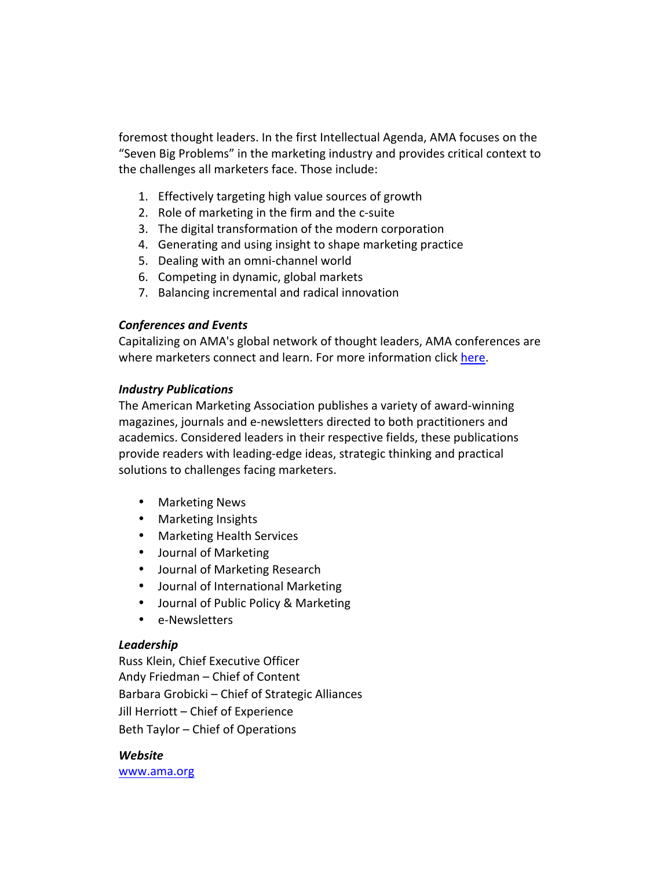foremost thought leaders. In the first Intellectual Agenda, AMA focuses on the "Seven Big Problems" in the marketing industry and provides critical context to the challenges all marketers face. Those include:

- 1. Effectively targeting high value sources of growth
- 2. Role of marketing in the firm and the c-suite
- 3. The digital transformation of the modern corporation
- 4. Generating and using insight to shape marketing practice
- 5. Dealing with an omni-channel world
- 6. Competing in dynamic, global markets
- 7. Balancing incremental and radical innovation

### *Conferences and Events*

Capitalizing on AMA's global network of thought leaders, AMA conferences are where marketers connect and learn. For more information click here.

#### *Industry Publications*

The American Marketing Association publishes a variety of award-winning magazines, journals and e-newsletters directed to both practitioners and academics. Considered leaders in their respective fields, these publications provide readers with leading-edge ideas, strategic thinking and practical solutions to challenges facing marketers.

- Marketing News
- Marketing Insights
- Marketing Health Services
- Journal of Marketing
- Journal of Marketing Research
- Journal of International Marketing
- Journal of Public Policy & Marketing
- e-Newsletters

### *Leadership*

Russ Klein, Chief Executive Officer Andy Friedman – Chief of Content Barbara Grobicki – Chief of Strategic Alliances Jill Herriott - Chief of Experience Beth Taylor – Chief of Operations

*Website* www.ama.org